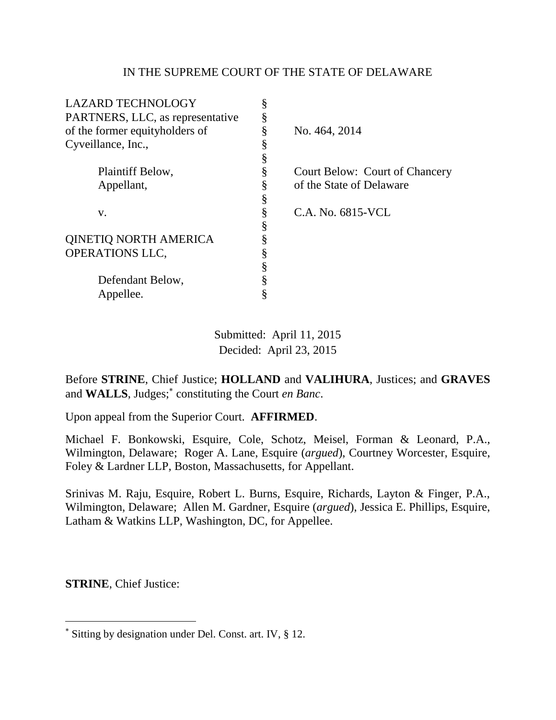## IN THE SUPREME COURT OF THE STATE OF DELAWARE

| <b>LAZARD TECHNOLOGY</b>         | § |                                |
|----------------------------------|---|--------------------------------|
| PARTNERS, LLC, as representative | ş |                                |
| of the former equityholders of   | § | No. 464, 2014                  |
| Cyveillance, Inc.,               | ş |                                |
|                                  | § |                                |
| Plaintiff Below,                 | ş | Court Below: Court of Chancery |
| Appellant,                       | § | of the State of Delaware       |
|                                  | ş |                                |
| V.                               | § | C.A. No. 6815-VCL              |
|                                  | ş |                                |
| <b>QINETIQ NORTH AMERICA</b>     | ş |                                |
| <b>OPERATIONS LLC,</b>           | ş |                                |
|                                  | § |                                |
| Defendant Below,                 | § |                                |
| Appellee.                        |   |                                |

Submitted: April 11, 2015 Decided: April 23, 2015

Before **STRINE**, Chief Justice; **HOLLAND** and **VALIHURA**, Justices; and **GRAVES** and **WALLS**, Judges; constituting the Court *en Banc*.

Upon appeal from the Superior Court. **AFFIRMED**.

Michael F. Bonkowski, Esquire, Cole, Schotz, Meisel, Forman & Leonard, P.A., Wilmington, Delaware; Roger A. Lane, Esquire (*argued*), Courtney Worcester, Esquire, Foley & Lardner LLP, Boston, Massachusetts, for Appellant.

Srinivas M. Raju, Esquire, Robert L. Burns, Esquire, Richards, Layton & Finger, P.A., Wilmington, Delaware; Allen M. Gardner, Esquire (*argued*), Jessica E. Phillips, Esquire, Latham & Watkins LLP, Washington, DC, for Appellee.

**STRINE**, Chief Justice:

 $\overline{a}$ 

Sitting by designation under Del. Const. art. IV, § 12.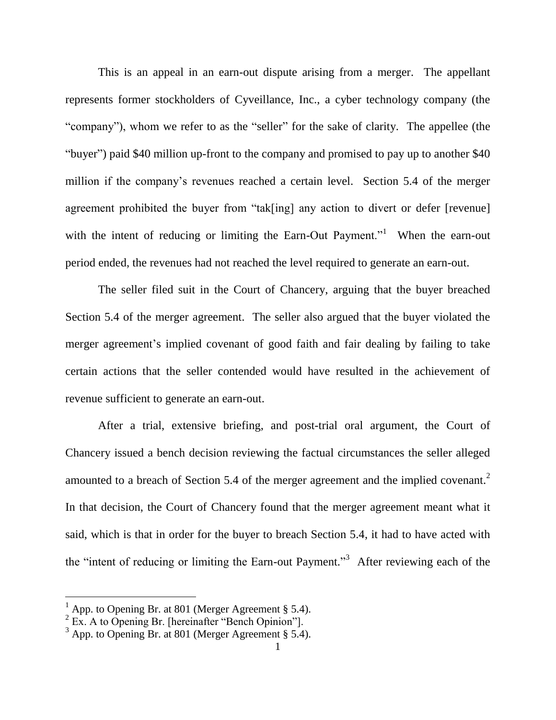This is an appeal in an earn-out dispute arising from a merger. The appellant represents former stockholders of Cyveillance, Inc., a cyber technology company (the "company"), whom we refer to as the "seller" for the sake of clarity. The appellee (the "buyer") paid \$40 million up-front to the company and promised to pay up to another \$40 million if the company"s revenues reached a certain level. Section 5.4 of the merger agreement prohibited the buyer from "tak[ing] any action to divert or defer [revenue] with the intent of reducing or limiting the Earn-Out Payment."<sup>1</sup> When the earn-out period ended, the revenues had not reached the level required to generate an earn-out.

The seller filed suit in the Court of Chancery, arguing that the buyer breached Section 5.4 of the merger agreement. The seller also argued that the buyer violated the merger agreement's implied covenant of good faith and fair dealing by failing to take certain actions that the seller contended would have resulted in the achievement of revenue sufficient to generate an earn-out.

After a trial, extensive briefing, and post-trial oral argument, the Court of Chancery issued a bench decision reviewing the factual circumstances the seller alleged amounted to a breach of Section 5.4 of the merger agreement and the implied covenant.<sup>2</sup> In that decision, the Court of Chancery found that the merger agreement meant what it said, which is that in order for the buyer to breach Section 5.4, it had to have acted with the "intent of reducing or limiting the Earn-out Payment."<sup>3</sup> After reviewing each of the

 $1$  App. to Opening Br. at 801 (Merger Agreement § 5.4).

 $2 \text{ Ex. A to Opening Br. }$  [hereinafter "Bench Opinion"].

 $3$  App. to Opening Br. at 801 (Merger Agreement § 5.4).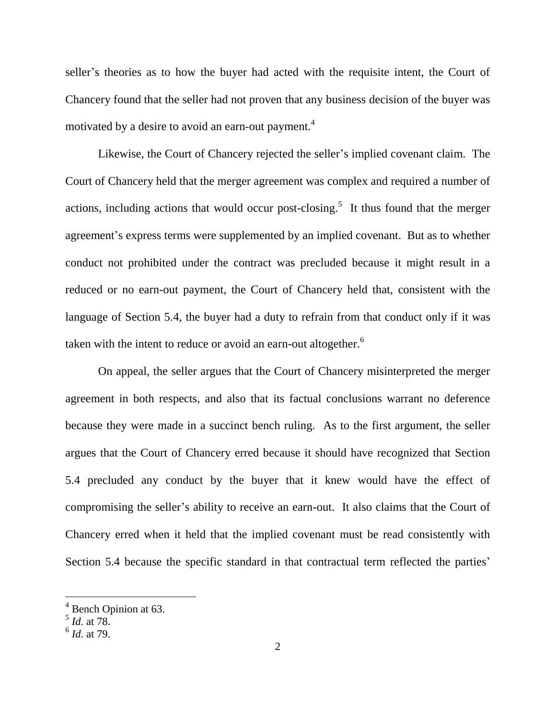seller's theories as to how the buyer had acted with the requisite intent, the Court of Chancery found that the seller had not proven that any business decision of the buyer was motivated by a desire to avoid an earn-out payment. 4

Likewise, the Court of Chancery rejected the seller's implied covenant claim. The Court of Chancery held that the merger agreement was complex and required a number of actions, including actions that would occur post-closing.<sup>5</sup> It thus found that the merger agreement's express terms were supplemented by an implied covenant. But as to whether conduct not prohibited under the contract was precluded because it might result in a reduced or no earn-out payment, the Court of Chancery held that, consistent with the language of Section 5.4, the buyer had a duty to refrain from that conduct only if it was taken with the intent to reduce or avoid an earn-out altogether.<sup>6</sup>

On appeal, the seller argues that the Court of Chancery misinterpreted the merger agreement in both respects, and also that its factual conclusions warrant no deference because they were made in a succinct bench ruling. As to the first argument, the seller argues that the Court of Chancery erred because it should have recognized that Section 5.4 precluded any conduct by the buyer that it knew would have the effect of compromising the seller"s ability to receive an earn-out. It also claims that the Court of Chancery erred when it held that the implied covenant must be read consistently with Section 5.4 because the specific standard in that contractual term reflected the parties'

<sup>4</sup> Bench Opinion at 63. 5 *Id.* at 78.

<sup>6</sup> *Id.* at 79.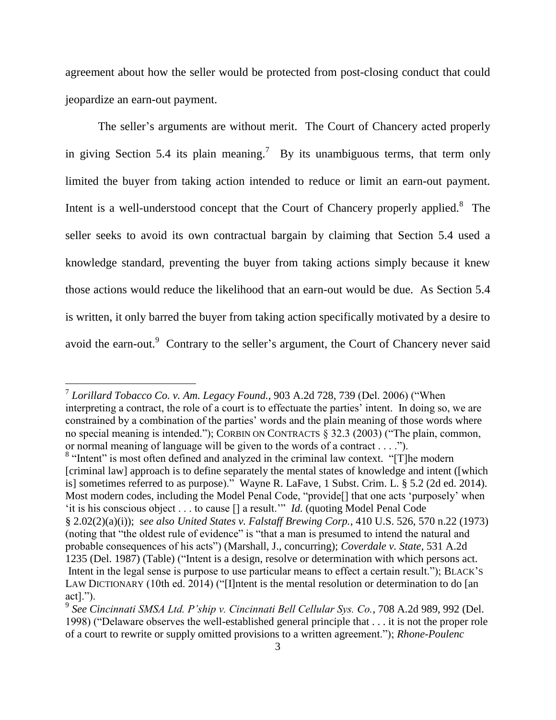agreement about how the seller would be protected from post-closing conduct that could jeopardize an earn-out payment.

The seller's arguments are without merit. The Court of Chancery acted properly in giving Section 5.4 its plain meaning.<sup>7</sup> By its unambiguous terms, that term only limited the buyer from taking action intended to reduce or limit an earn-out payment. Intent is a well-understood concept that the Court of Chancery properly applied. $8$  The seller seeks to avoid its own contractual bargain by claiming that Section 5.4 used a knowledge standard, preventing the buyer from taking actions simply because it knew those actions would reduce the likelihood that an earn-out would be due. As Section 5.4 is written, it only barred the buyer from taking action specifically motivated by a desire to avoid the earn-out.<sup>9</sup> Contrary to the seller's argument, the Court of Chancery never said

<sup>8</sup> "Intent" is most often defined and analyzed in the criminal law context. "[T]he modern [criminal law] approach is to define separately the mental states of knowledge and intent ([which is] sometimes referred to as purpose)." Wayne R. LaFave, 1 Subst. Crim. L. § 5.2 (2d ed. 2014). Most modern codes, including the Model Penal Code, "provide<sup>[]</sup> that one acts 'purposely' when 'it is his conscious object . . . to cause [] a result."" *Id.* (quoting Model Penal Code § [2.02\(2\)\(a\)\(i\)\)](https://a.next.westlaw.com/Link/Document/FullText?findType=L&pubNum=1002069&cite=ULPNCOS2.02&originatingDoc=Ifdcf3ef50a9a11da9f6b9cbacef13d00&refType=LQ&originationContext=document&transitionType=DocumentItem&contextData=(sc.Search)); s*ee also United States v. Falstaff Brewing Corp.*, 410 U.S. 526, 570 n.22 (1973) (noting that "the oldest rule of evidence" is "that a man is presumed to intend the natural and probable consequences of his acts") (Marshall, J., concurring); *Coverdale v. State*, 531 A.2d 1235 (Del. 1987) (Table) ("Intent is a design, resolve or determination with which persons act. Intent in the legal sense is purpose to use particular means to effect a certain result."); BLACK's LAW DICTIONARY (10th ed. 2014) ("[I]ntent is the mental resolution or determination to do [an act].").

<sup>7</sup> *Lorillard Tobacco Co. v. Am. Legacy Found.*, 903 A.2d 728, 739 (Del. 2006) ("When interpreting a contract, the role of a court is to effectuate the parties' intent. In doing so, we are constrained by a combination of the parties' words and the plain meaning of those words where no special meaning is intended."); CORBIN ON CONTRACTS § 32.3 (2003) ("The plain, common, or normal meaning of language will be given to the words of a contract . . . .").

<sup>9</sup> *See Cincinnati SMSA Ltd. P'ship v. Cincinnati Bell Cellular Sys. Co.*, 708 A.2d 989, 992 (Del. 1998) ("Delaware observes the well-established general principle that . . . it is not the proper role of a court to rewrite or supply omitted provisions to a written agreement."); *Rhone-Poulenc*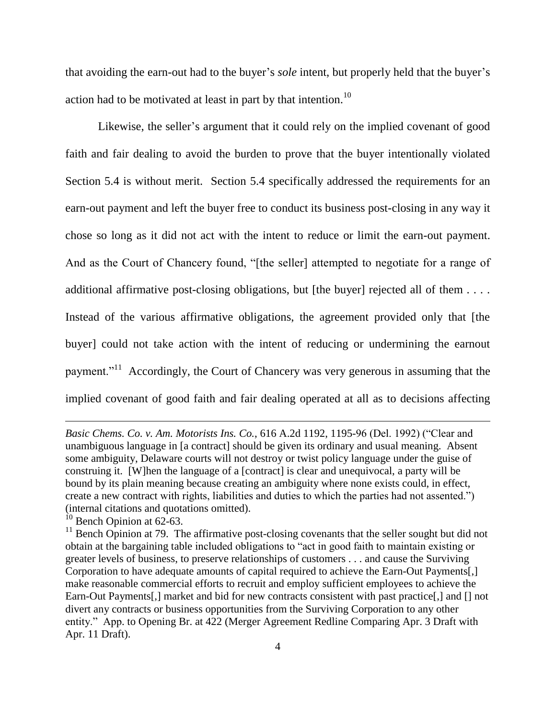that avoiding the earn-out had to the buyer's *sole* intent, but properly held that the buyer's action had to be motivated at least in part by that intention.<sup>10</sup>

Likewise, the seller's argument that it could rely on the implied covenant of good faith and fair dealing to avoid the burden to prove that the buyer intentionally violated Section 5.4 is without merit. Section 5.4 specifically addressed the requirements for an earn-out payment and left the buyer free to conduct its business post-closing in any way it chose so long as it did not act with the intent to reduce or limit the earn-out payment. And as the Court of Chancery found, "[the seller] attempted to negotiate for a range of additional affirmative post-closing obligations, but [the buyer] rejected all of them . . . . Instead of the various affirmative obligations, the agreement provided only that [the buyer] could not take action with the intent of reducing or undermining the earnout payment."<sup>11</sup> Accordingly, the Court of Chancery was very generous in assuming that the implied covenant of good faith and fair dealing operated at all as to decisions affecting

 $\overline{a}$ 

*Basic Chems. Co. v. Am. Motorists Ins. Co.*, 616 A.2d 1192, 1195-96 (Del. 1992) ("Clear and unambiguous language in [a contract] should be given its ordinary and usual meaning. Absent some ambiguity, Delaware courts will not destroy or twist policy language under the guise of construing it. [W]hen the language of a [contract] is clear and unequivocal, a party will be bound by its plain meaning because creating an ambiguity where none exists could, in effect, create a new contract with rights, liabilities and duties to which the parties had not assented.") (internal citations and quotations omitted).

 $10$  Bench Opinion at 62-63.

 $11$  Bench Opinion at 79. The affirmative post-closing covenants that the seller sought but did not obtain at the bargaining table included obligations to "act in good faith to maintain existing or greater levels of business, to preserve relationships of customers . . . and cause the Surviving Corporation to have adequate amounts of capital required to achieve the Earn-Out Payments[,] make reasonable commercial efforts to recruit and employ sufficient employees to achieve the Earn-Out Payments<sup>[1]</sup>, market and bid for new contracts consistent with past practice<sup>[1]</sup>, and [1] not divert any contracts or business opportunities from the Surviving Corporation to any other entity." App. to Opening Br. at 422 (Merger Agreement Redline Comparing Apr. 3 Draft with Apr. 11 Draft).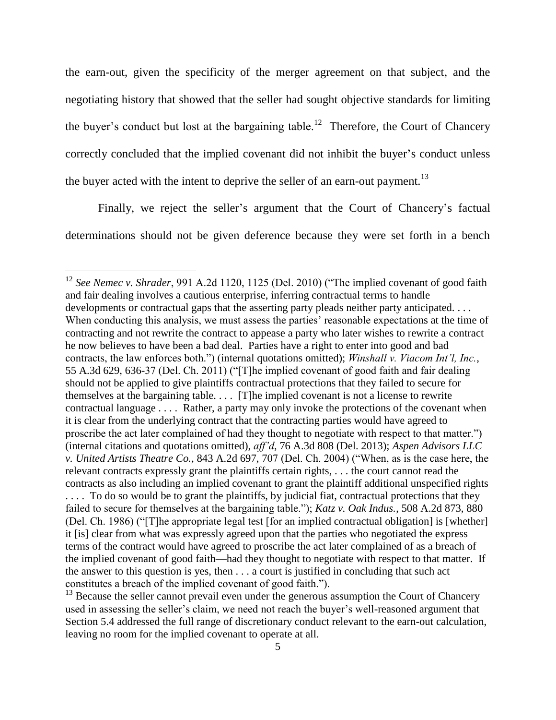the earn-out, given the specificity of the merger agreement on that subject, and the negotiating history that showed that the seller had sought objective standards for limiting the buyer's conduct but lost at the bargaining table.<sup>12</sup> Therefore, the Court of Chancery correctly concluded that the implied covenant did not inhibit the buyer's conduct unless the buyer acted with the intent to deprive the seller of an earn-out payment.<sup>13</sup>

Finally, we reject the seller's argument that the Court of Chancery's factual determinations should not be given deference because they were set forth in a bench

 $\overline{a}$ 

<sup>12</sup> *See Nemec v. Shrader*, 991 A.2d 1120, 1125 (Del. 2010) ("The implied covenant of good faith and fair dealing involves a cautious enterprise, inferring contractual terms to handle developments or contractual gaps that the asserting party pleads neither party anticipated. . . . When conducting this analysis, we must assess the parties' reasonable expectations at the time of contracting and not rewrite the contract to appease a party who later wishes to rewrite a contract he now believes to have been a bad deal. Parties have a right to enter into good and bad contracts, the law enforces both.") (internal quotations omitted); *Winshall v. Viacom Int'l, Inc.*, 55 A.3d 629, 636-37 (Del. Ch. 2011) ("[T]he implied covenant of good faith and fair dealing should not be applied to give plaintiffs contractual protections that they failed to secure for themselves at the bargaining table. . . . [T]he implied covenant is not a license to rewrite contractual language . . . . Rather, a party may only invoke the protections of the covenant when it is clear from the underlying contract that the contracting parties would have agreed to proscribe the act later complained of had they thought to negotiate with respect to that matter.") (internal citations and quotations omitted), *aff'd*, 76 A.3d 808 (Del. 2013); *Aspen Advisors LLC v. United Artists Theatre Co.*, 843 A.2d 697, 707 (Del. Ch. 2004) ("When, as is the case here, the relevant contracts expressly grant the plaintiffs certain rights, . . . the court cannot read the contracts as also including an implied covenant to grant the plaintiff additional unspecified rights . . . . To do so would be to grant the plaintiffs, by judicial fiat, contractual protections that they failed to secure for themselves at the bargaining table."); *Katz v. Oak Indus.*, 508 A.2d 873, 880 (Del. Ch. 1986) ("[T]he appropriate legal test [for an implied contractual obligation] is [whether] it [is] clear from what was expressly agreed upon that the parties who negotiated the express terms of the contract would have agreed to proscribe the act later complained of as a breach of the implied covenant of good faith—had they thought to negotiate with respect to that matter. If the answer to this question is yes, then . . . a court is justified in concluding that such act constitutes a breach of the implied covenant of good faith.").

 $13$  Because the seller cannot prevail even under the generous assumption the Court of Chancery used in assessing the seller's claim, we need not reach the buyer's well-reasoned argument that Section 5.4 addressed the full range of discretionary conduct relevant to the earn-out calculation, leaving no room for the implied covenant to operate at all.